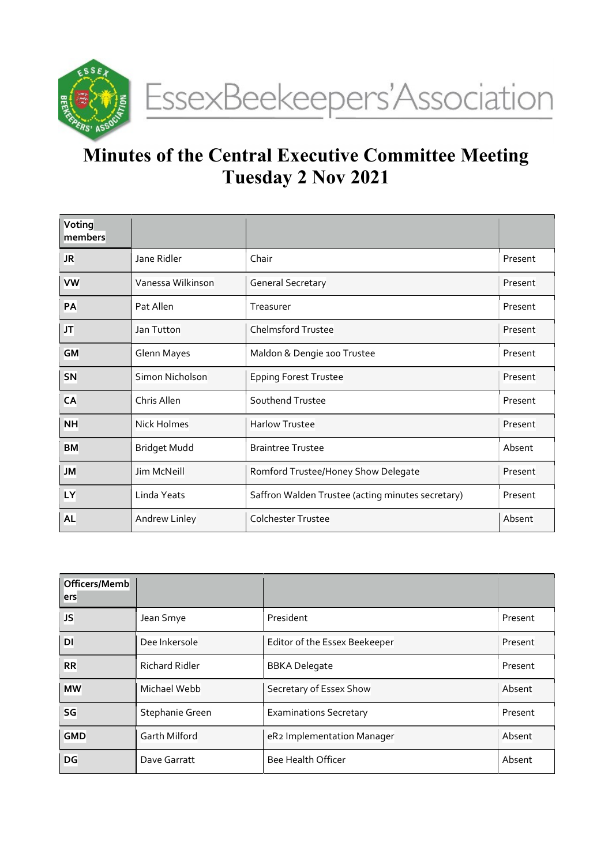

# Minutes of the Central Executive Committee Meeting Tuesday 2 Nov 2021

| Voting<br>members |                    |                                                   |         |
|-------------------|--------------------|---------------------------------------------------|---------|
| <b>JR</b>         | Jane Ridler        | Chair                                             | Present |
| <b>VW</b>         | Vanessa Wilkinson  | <b>General Secretary</b>                          | Present |
| PA                | Pat Allen          | Treasurer                                         | Present |
| <b>JT</b>         | Jan Tutton         | <b>Chelmsford Trustee</b>                         | Present |
| <b>GM</b>         | <b>Glenn Mayes</b> | Maldon & Dengie 100 Trustee                       | Present |
| SN                | Simon Nicholson    | <b>Epping Forest Trustee</b>                      | Present |
| CA                | Chris Allen        | Southend Trustee                                  | Present |
| <b>NH</b>         | <b>Nick Holmes</b> | <b>Harlow Trustee</b>                             | Present |
| <b>BM</b>         | Bridget Mudd       | <b>Braintree Trustee</b>                          | Absent  |
| <b>JM</b>         | Jim McNeill        | Romford Trustee/Honey Show Delegate               | Present |
| LY                | Linda Yeats        | Saffron Walden Trustee (acting minutes secretary) | Present |
| <b>AL</b>         | Andrew Linley      | <b>Colchester Trustee</b>                         | Absent  |

| Officers/Memb<br>ers |                       |                               |         |
|----------------------|-----------------------|-------------------------------|---------|
| <b>JS</b>            | Jean Smye             | President                     | Present |
| DI                   | Dee Inkersole         | Editor of the Essex Beekeeper | Present |
| <b>RR</b>            | <b>Richard Ridler</b> | <b>BBKA</b> Delegate          | Present |
| <b>MW</b>            | Michael Webb          | Secretary of Essex Show       | Absent  |
| SG                   | Stephanie Green       | <b>Examinations Secretary</b> | Present |
| <b>GMD</b>           | <b>Garth Milford</b>  | eR2 Implementation Manager    | Absent  |
| DG                   | Dave Garratt          | Bee Health Officer            | Absent  |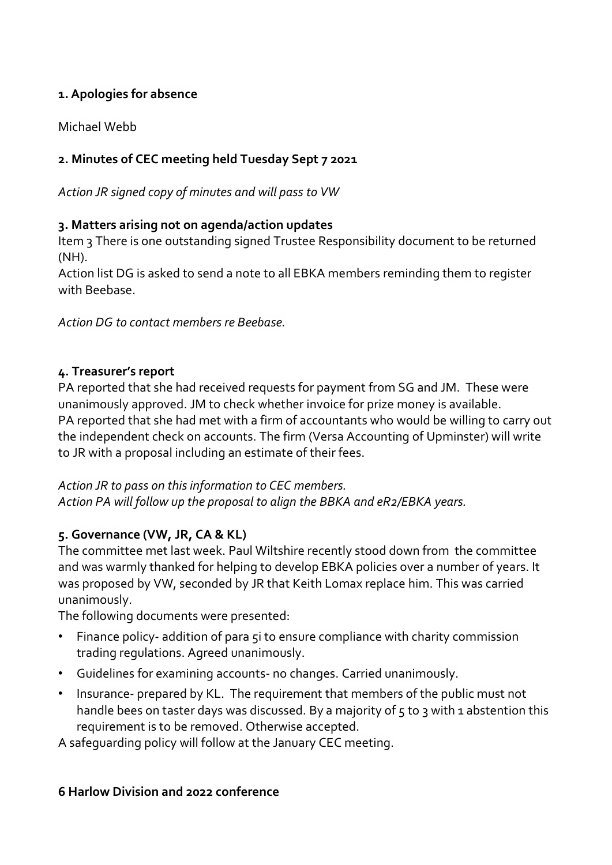## 1. Apologies for absence

Michael Webb

# 2. Minutes of CEC meeting held Tuesday Sept 7 2021

Action JR signed copy of minutes and will pass to VW

#### 3. Matters arising not on agenda/action updates

Item 3 There is one outstanding signed Trustee Responsibility document to be returned (NH).

Action list DG is asked to send a note to all EBKA members reminding them to register with Beebase.

Action DG to contact members re Beebase.

#### 4. Treasurer's report

PA reported that she had received requests for payment from SG and JM. These were unanimously approved. JM to check whether invoice for prize money is available. PA reported that she had met with a firm of accountants who would be willing to carry out the independent check on accounts. The firm (Versa Accounting of Upminster) will write to JR with a proposal including an estimate of their fees.

Action JR to pass on this information to CEC members. Action PA will follow up the proposal to align the BBKA and eR2/EBKA years.

#### 5. Governance (VW, JR, CA & KL)

The committee met last week. Paul Wiltshire recently stood down from the committee and was warmly thanked for helping to develop EBKA policies over a number of years. It was proposed by VW, seconded by JR that Keith Lomax replace him. This was carried unanimously.

The following documents were presented:

- Finance policy- addition of para 5 ito ensure compliance with charity commission trading regulations. Agreed unanimously.
- Guidelines for examining accounts- no changes. Carried unanimously.
- Insurance- prepared by KL. The requirement that members of the public must not handle bees on taster days was discussed. By a majority of 5 to 3 with 1 abstention this requirement is to be removed. Otherwise accepted.

A safeguarding policy will follow at the January CEC meeting.

#### 6 Harlow Division and 2022 conference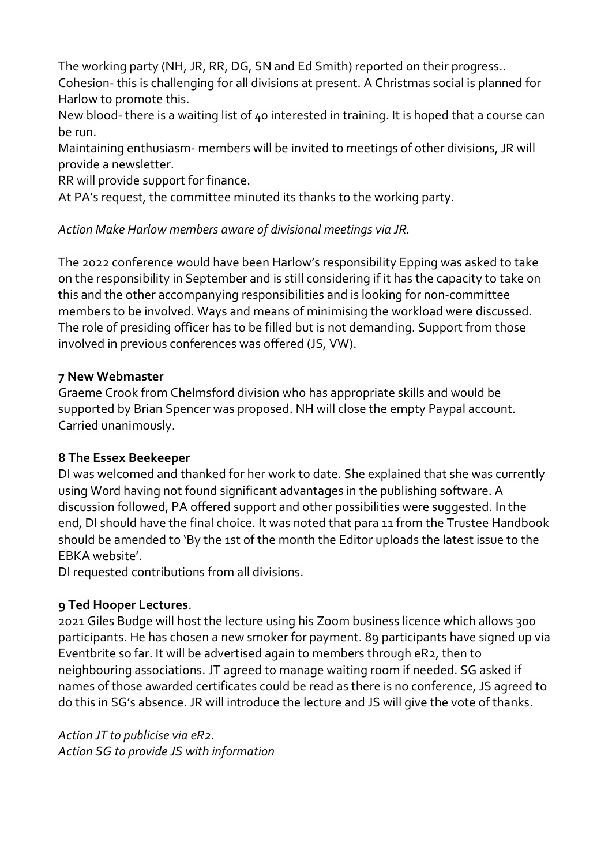The working party (NH, JR, RR, DG, SN and Ed Smith) reported on their progress..

Cohesion- this is challenging for all divisions at present. A Christmas social is planned for Harlow to promote this.

New blood- there is a waiting list of 40 interested in training. It is hoped that a course can be run.

Maintaining enthusiasm- members will be invited to meetings of other divisions, JR will provide a newsletter.

RR will provide support for finance.

At PA's request, the committee minuted its thanks to the working party.

#### Action Make Harlow members aware of divisional meetings via JR.

The 2022 conference would have been Harlow's responsibility Epping was asked to take on the responsibility in September and is still considering if it has the capacity to take on this and the other accompanying responsibilities and is looking for non-committee members to be involved. Ways and means of minimising the workload were discussed. The role of presiding officer has to be filled but is not demanding. Support from those involved in previous conferences was offered (JS, VW).

#### 7 New Webmaster

Graeme Crook from Chelmsford division who has appropriate skills and would be supported by Brian Spencer was proposed. NH will close the empty Paypal account. Carried unanimously.

# 8 The Essex Beekeeper

DI was welcomed and thanked for her work to date. She explained that she was currently using Word having not found significant advantages in the publishing software. A discussion followed, PA offered support and other possibilities were suggested. In the end, DI should have the final choice. It was noted that para 11 from the Trustee Handbook should be amended to 'By the 1st of the month the Editor uploads the latest issue to the EBKA website'.

DI requested contributions from all divisions.

# 9 Ted Hooper Lectures.

2021 Giles Budge will host the lecture using his Zoom business licence which allows 300 participants. He has chosen a new smoker for payment. 89 participants have signed up via Eventbrite so far. It will be advertised again to members through eR2, then to neighbouring associations. JT agreed to manage waiting room if needed. SG asked if names of those awarded certificates could be read as there is no conference, JS agreed to do this in SG's absence. JR will introduce the lecture and JS will give the vote of thanks.

Action JT to publicise via eR2. Action SG to provide JS with information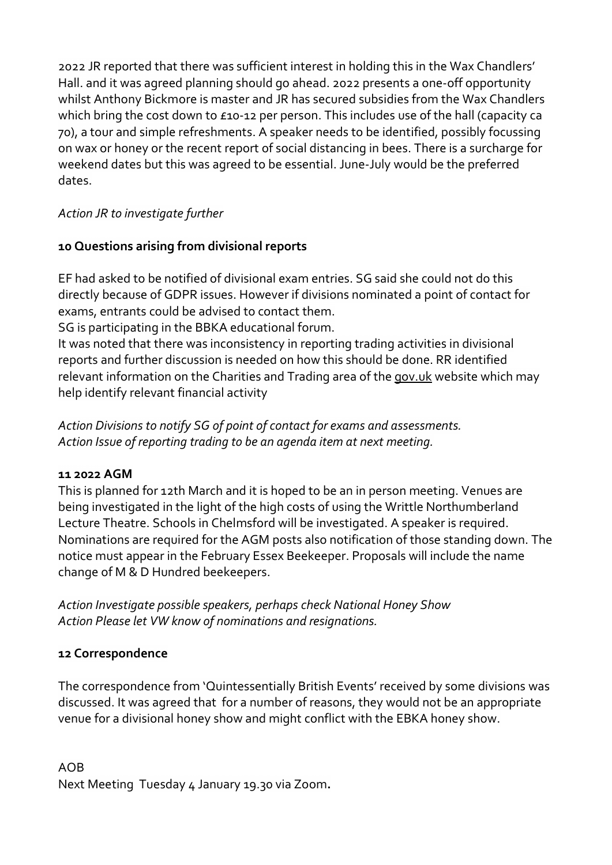2022 JR reported that there was sufficient interest in holding this in the Wax Chandlers' Hall. and it was agreed planning should go ahead. 2022 presents a one-off opportunity whilst Anthony Bickmore is master and JR has secured subsidies from the Wax Chandlers which bring the cost down to £10-12 per person. This includes use of the hall (capacity ca 70), a tour and simple refreshments. A speaker needs to be identified, possibly focussing on wax or honey or the recent report of social distancing in bees. There is a surcharge for weekend dates but this was agreed to be essential. June-July would be the preferred dates.

# Action JR to investigate further

# 10 Questions arising from divisional reports

EF had asked to be notified of divisional exam entries. SG said she could not do this directly because of GDPR issues. However if divisions nominated a point of contact for exams, entrants could be advised to contact them.

SG is participating in the BBKA educational forum.

It was noted that there was inconsistency in reporting trading activities in divisional reports and further discussion is needed on how this should be done. RR identified relevant information on the Charities and Trading area of the gov.uk website which may help identify relevant financial activity

Action Divisions to notify SG of point of contact for exams and assessments. Action Issue of reporting trading to be an agenda item at next meeting.

#### 11 2022 AGM

This is planned for 12th March and it is hoped to be an in person meeting. Venues are being investigated in the light of the high costs of using the Writtle Northumberland Lecture Theatre. Schools in Chelmsford will be investigated. A speaker is required. Nominations are required for the AGM posts also notification of those standing down. The notice must appear in the February Essex Beekeeper. Proposals will include the name change of M & D Hundred beekeepers.

Action Investigate possible speakers, perhaps check National Honey Show Action Please let VW know of nominations and resignations.

# 12 Correspondence

The correspondence from 'Quintessentially British Events' received by some divisions was discussed. It was agreed that for a number of reasons, they would not be an appropriate venue for a divisional honey show and might conflict with the EBKA honey show.